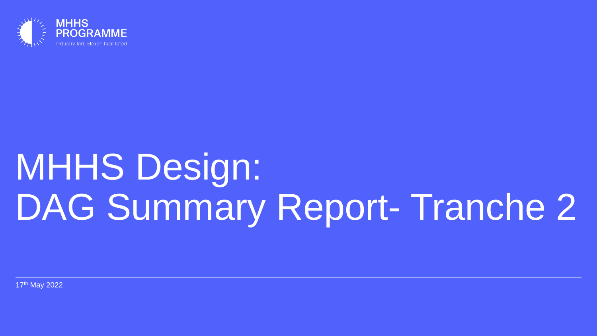

# MHHS Design: DAG Summary Report- Tranche 2

17th May 2022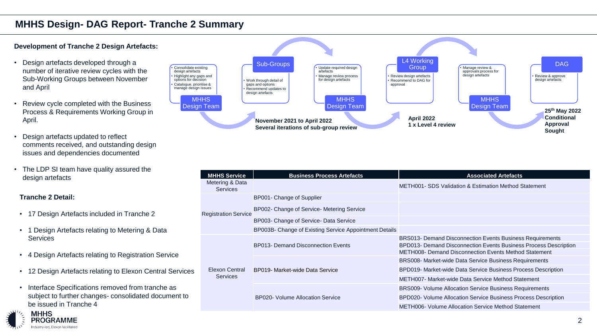#### **Development of Tranche 2 Design Artefacts:**

- Design artefacts developed through a number of iterative review cycles with the Sub-Working Groups between November and April
- Review cycle completed with the Business Process & Requirements Working Group in April.
- Design artefacts updated to reflect comments received, and outstanding design issues and dependencies documented
- The LDP SI team have quality assured the

**Tranche 2 Detail:**

- 17 Design Artefacts included in Tranche 2
- 1 Design Artefacts relating to Metering & Data **Services**
- 4 Design Artefacts relating to Registration Service
- 12 Design Artefacts relating to Elexon Central Services
- Interface Specifications removed from tranche as subject to further changes- consolidated document to be issued in Tranche 4



| The LDP St team have quality assured the<br>design artefacts           | <b>MHHS Service</b>               | <b>Business Process Artefacts</b>                      | <b>Associated Artefacts</b>                                                                                                                                                                   |
|------------------------------------------------------------------------|-----------------------------------|--------------------------------------------------------|-----------------------------------------------------------------------------------------------------------------------------------------------------------------------------------------------|
|                                                                        | Metering & Data<br>Services       |                                                        | <b>METH001- SDS Validation &amp; Estimation Method Statement</b>                                                                                                                              |
| ranche 2 Detail:                                                       |                                   | BP001- Change of Supplier                              |                                                                                                                                                                                               |
| 17 Design Artefacts included in Tranche 2                              | <b>Registration Service</b>       | BP002- Change of Service- Metering Service             |                                                                                                                                                                                               |
|                                                                        |                                   | BP003- Change of Service- Data Service                 |                                                                                                                                                                                               |
| 1 Design Artefacts relating to Metering & Data                         |                                   | BP003B- Change of Existing Service Appointment Details |                                                                                                                                                                                               |
| <b>Services</b><br>4 Design Artefacts relating to Registration Service | Elexon Central<br><b>Services</b> | <b>BP013- Demand Disconnection Events</b>              | BRS013- Demand Disconnection Events Business Requirements<br>BPD013- Demand Disconnection Events Business Process Description<br><b>METH008- Demand Disconnection Events Method Statement</b> |
|                                                                        |                                   | BP019- Market-wide Data Service                        | BRS008- Market-wide Data Service Business Requirements                                                                                                                                        |
| 12 Design Artefacts relating to Elexon Central Services                |                                   |                                                        | BPD019- Market-wide Data Service Business Process Description                                                                                                                                 |
|                                                                        |                                   |                                                        | METH007- Market-wide Data Service Method Statement                                                                                                                                            |
| Interface Specifications removed from tranche as                       |                                   | <b>BP020- Volume Allocation Service</b>                | <b>BRS009- Volume Allocation Service Business Requirements</b>                                                                                                                                |
| subject to further changes-consolidated document to                    |                                   |                                                        | BPD020- Volume Allocation Service Business Process Description                                                                                                                                |
| be issued in Tranche 4                                                 |                                   |                                                        | <b>METH006- Volume Allocation Service Method Statement</b>                                                                                                                                    |

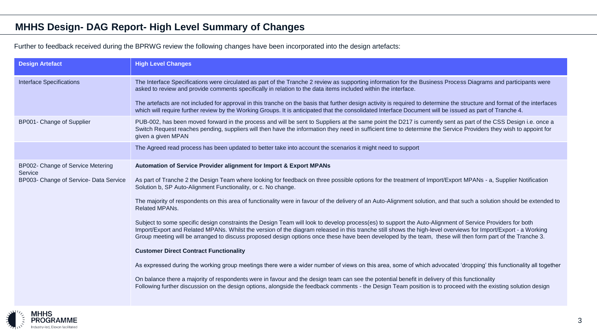## **MHHS Design- DAG Report- High Level Summary of Changes**

Further to feedback received during the BPRWG review the following changes have been incorporated into the design artefacts:

| <b>Design Artefact</b>                       | <b>High Level Changes</b>                                                                                                                                                                                                                                                                                                                                                                                                                                                               |  |  |
|----------------------------------------------|-----------------------------------------------------------------------------------------------------------------------------------------------------------------------------------------------------------------------------------------------------------------------------------------------------------------------------------------------------------------------------------------------------------------------------------------------------------------------------------------|--|--|
| <b>Interface Specifications</b>              | The Interface Specifications were circulated as part of the Tranche 2 review as supporting information for the Business Process Diagrams and participants were<br>asked to review and provide comments specifically in relation to the data items included within the interface.                                                                                                                                                                                                        |  |  |
|                                              | The artefacts are not included for approval in this tranche on the basis that further design activity is required to determine the structure and format of the interfaces<br>which will require further review by the Working Groups. It is anticipated that the consolidated Interface Document will be issued as part of Tranche 4.                                                                                                                                                   |  |  |
| BP001- Change of Supplier                    | PUB-002, has been moved forward in the process and will be sent to Suppliers at the same point the D217 is currently sent as part of the CSS Design i.e. once a<br>Switch Request reaches pending, suppliers will then have the information they need in sufficient time to determine the Service Providers they wish to appoint for<br>given a given MPAN                                                                                                                              |  |  |
|                                              | The Agreed read process has been updated to better take into account the scenarios it might need to support                                                                                                                                                                                                                                                                                                                                                                             |  |  |
| BP002- Change of Service Metering<br>Service | Automation of Service Provider alignment for Import & Export MPANs                                                                                                                                                                                                                                                                                                                                                                                                                      |  |  |
| BP003- Change of Service- Data Service       | As part of Tranche 2 the Design Team where looking for feedback on three possible options for the treatment of Import/Export MPANs - a, Supplier Notification<br>Solution b, SP Auto-Alignment Functionality, or c. No change.                                                                                                                                                                                                                                                          |  |  |
|                                              | The majority of respondents on this area of functionality were in favour of the delivery of an Auto-Alignment solution, and that such a solution should be extended to<br><b>Related MPANs.</b>                                                                                                                                                                                                                                                                                         |  |  |
|                                              | Subject to some specific design constraints the Design Team will look to develop process(es) to support the Auto-Alignment of Service Providers for both<br>Import/Export and Related MPANs. Whilst the version of the diagram released in this tranche still shows the high-level overviews for Import/Export - a Working<br>Group meeting will be arranged to discuss proposed design options once these have been developed by the team, these will then form part of the Tranche 3. |  |  |
|                                              | <b>Customer Direct Contract Functionality</b>                                                                                                                                                                                                                                                                                                                                                                                                                                           |  |  |
|                                              | As expressed during the working group meetings there were a wider number of views on this area, some of which advocated 'dropping' this functionality all together                                                                                                                                                                                                                                                                                                                      |  |  |
|                                              | On balance there a majority of respondents were in favour and the design team can see the potential benefit in delivery of this functionality<br>Following further discussion on the design options, alongside the feedback comments - the Design Team position is to proceed with the existing solution design                                                                                                                                                                         |  |  |

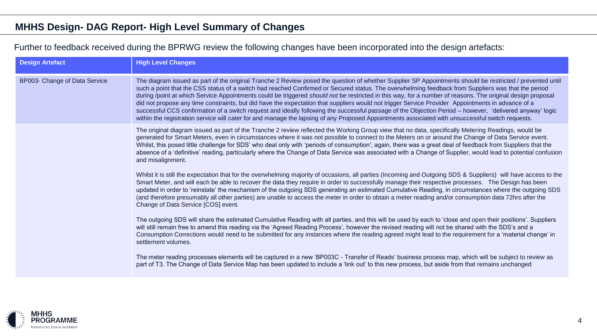## **MHHS Design- DAG Report- High Level Summary of Changes**

### Further to feedback received during the BPRWG review the following changes have been incorporated into the design artefacts:

| <b>Design Artefact</b>        | <b>High Level Changes</b>                                                                                                                                                                                                                                                                                                                                                                                                                                                                                                                                                                                                                                                                                                                                                                                                                                                                                                                          |
|-------------------------------|----------------------------------------------------------------------------------------------------------------------------------------------------------------------------------------------------------------------------------------------------------------------------------------------------------------------------------------------------------------------------------------------------------------------------------------------------------------------------------------------------------------------------------------------------------------------------------------------------------------------------------------------------------------------------------------------------------------------------------------------------------------------------------------------------------------------------------------------------------------------------------------------------------------------------------------------------|
| BP003- Change of Data Service | The diagram issued as part of the original Tranche 2 Review posed the question of whether Supplier SP Appointments should be restricted / prevented until<br>such a point that the CSS status of a switch had reached Confirmed or Secured status. The overwhelming feedback from Suppliers was that the period<br>during /point at which Service Appointments could be triggered should not be restricted in this way, for a number of reasons. The original design proposal<br>did not propose any time constraints, but did have the expectation that suppliers would not trigger Service Provider Appointments in advance of a<br>successful CCS confirmation of a switch request and ideally following the successful passage of the Objection Period – however, 'delivered anyway' logic<br>within the registration service will cater for and manage the lapsing of any Proposed Appointments associated with unsuccessful switch requests. |
|                               | The original diagram issued as part of the Tranche 2 review reflected the Working Group view that no data, specifically Metering Readings, would be<br>generated for Smart Meters, even in circumstances where it was not possible to connect to the Meters on or around the Change of Data Service event.<br>Whilst, this posed little challenge for SDS' who deal only with 'periods of consumption'; again, there was a great deal of feedback from Suppliers that the<br>absence of a 'definitive' reading, particularly where the Change of Data Service was associated with a Change of Supplier, would lead to potential confusion<br>and misalignment.                                                                                                                                                                                                                                                                                     |
|                               | Whilst it is still the expectation that for the overwhelming majority of occasions, all parties (Incoming and Outgoing SDS & Suppliers) will have access to the<br>Smart Meter, and will each be able to recover the data they require in order to successfully manage their respective processes. The Design has been<br>updated in order to 'reinstate' the mechanism of the outgoing SDS generating an estimated Cumulative Reading, in circumstances where the outgoing SDS<br>(and therefore presumably all other parties) are unable to access the meter in order to obtain a meter reading and/or consumption data 72hrs after the<br>Change of Data Service [COS] event.                                                                                                                                                                                                                                                                   |
|                               | The outgoing SDS will share the estimated Cumulative Reading with all parties, and this will be used by each to 'close and open their positions'. Suppliers<br>will still remain free to amend this reading via the 'Agreed Reading Process', however the revised reading will not be shared with the SDS's and a<br>Consumption Corrections would need to be submitted for any instances where the reading agreed might lead to the requirement for a 'material change' in<br>settlement volumes.                                                                                                                                                                                                                                                                                                                                                                                                                                                 |
|                               | The meter reading processes elements will be captured in a new 'BP003C - Transfer of Reads' business process map, which will be subject to review as<br>part of T3. The Change of Data Service Map has been updated to include a 'link out' to this new process, but aside from that remains unchanged                                                                                                                                                                                                                                                                                                                                                                                                                                                                                                                                                                                                                                             |

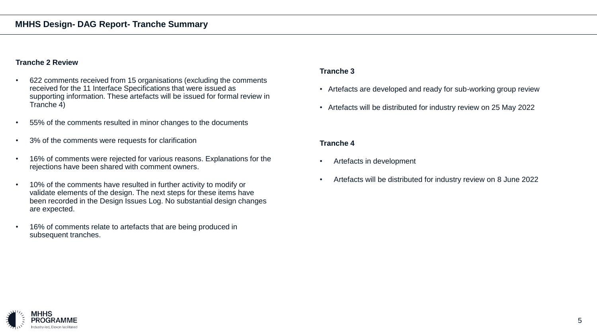#### **Tranche 2 Review**

- 622 comments received from 15 organisations (excluding the comments received for the 11 Interface Specifications that were issued as supporting information. These artefacts will be issued for formal review in Tranche 4)
- 55% of the comments resulted in minor changes to the documents
- 3% of the comments were requests for clarification
- 16% of comments were rejected for various reasons. Explanations for the rejections have been shared with comment owners.
- 10% of the comments have resulted in further activity to modify or validate elements of the design. The next steps for these items have been recorded in the Design Issues Log. No substantial design changes are expected.
- 16% of comments relate to artefacts that are being produced in subsequent tranches.

#### **Tranche 3**

- Artefacts are developed and ready for sub-working group review
- Artefacts will be distributed for industry review on 25 May 2022

#### **Tranche 4**

- Artefacts in development
- Artefacts will be distributed for industry review on 8 June 2022

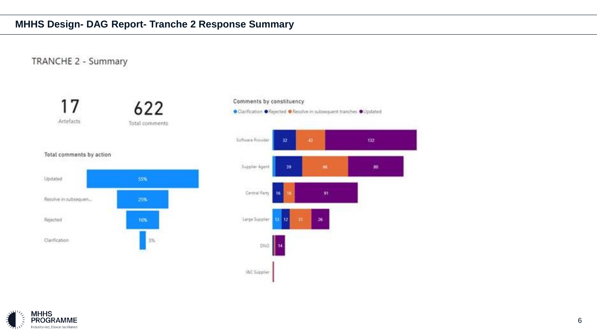## **MHHS Design- DAG Report- Tranche 2 Response Summary**

TRANCHE 2 - Summary





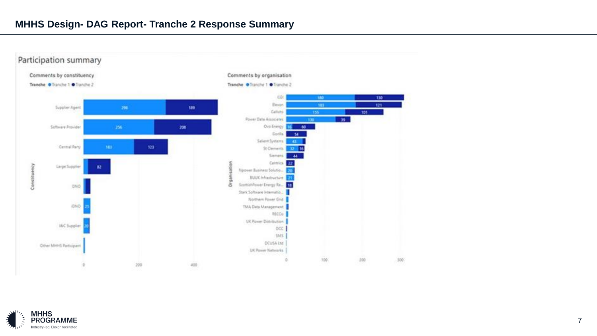## **MHHS Design- DAG Report- Tranche 2 Response Summary**



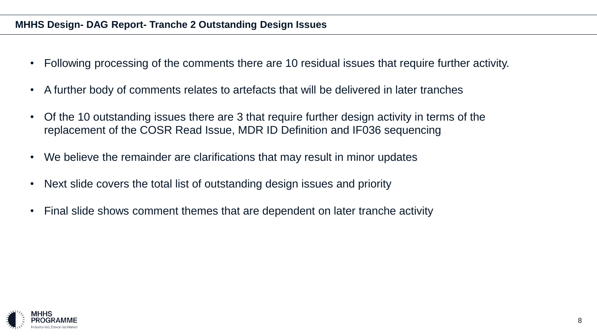## **MHHS Design- DAG Report- Tranche 2 Outstanding Design Issues**

- Following processing of the comments there are 10 residual issues that require further activity.
- A further body of comments relates to artefacts that will be delivered in later tranches
- Of the 10 outstanding issues there are 3 that require further design activity in terms of the replacement of the COSR Read Issue, MDR ID Definition and IF036 sequencing
- We believe the remainder are clarifications that may result in minor updates
- Next slide covers the total list of outstanding design issues and priority
- Final slide shows comment themes that are dependent on later tranche activity

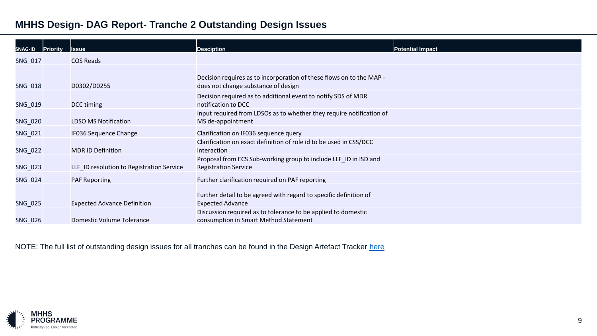## **MHHS Design- DAG Report- Tranche 2 Outstanding Design Issues**

| SNAG-ID        | <b>Priority</b> | Issue                                     | <b>Desciption</b>                                                                                           | Potential Impact |
|----------------|-----------------|-------------------------------------------|-------------------------------------------------------------------------------------------------------------|------------------|
| SNG_017        |                 | <b>COS Reads</b>                          |                                                                                                             |                  |
| <b>SNG_018</b> |                 | D0302/D0255                               | Decision requires as to incorporation of these flows on to the MAP -<br>does not change substance of design |                  |
| SNG_019        |                 | DCC timing                                | Decision required as to additional event to notify SDS of MDR<br>notification to DCC                        |                  |
| <b>SNG_020</b> |                 | <b>LDSO MS Notification</b>               | Input required from LDSOs as to whether they require notification of<br>MS de-appointment                   |                  |
| SNG_021        |                 | IF036 Sequence Change                     | Clarification on IF036 sequence query                                                                       |                  |
| <b>SNG_022</b> |                 | <b>MDR ID Definition</b>                  | Clarification on exact definition of role id to be used in CSS/DCC<br>interaction                           |                  |
| SNG_023        |                 | LLF_ID resolution to Registration Service | Proposal from ECS Sub-working group to include LLF_ID in ISD and<br><b>Registration Service</b>             |                  |
| SNG_024        |                 | <b>PAF Reporting</b>                      | Further clarification required on PAF reporting                                                             |                  |
| <b>SNG_025</b> |                 | <b>Expected Advance Definition</b>        | Further detail to be agreed with regard to specific definition of<br><b>Expected Advance</b>                |                  |
| SNG_026        |                 | Domestic Volume Tolerance                 | Discussion required as to tolerance to be applied to domestic<br>consumption in Smart Method Statement      |                  |

NOTE: The full list of outstanding design issues for all tranches can be found in the Design Artefact Tracker [here](https://mhhsprogramme.sharepoint.com/:x:/s/Market-wideHalfHourlySettlement/ERGk8L2TaCRGoU8kThl19RsB3QbABmw2bXzHaqYWFwH1lQ?e=XYG0lm)

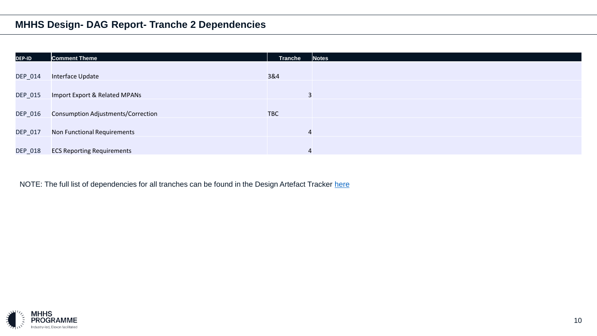## **MHHS Design- DAG Report- Tranche 2 Dependencies**

| <b>DEP-ID</b>  | <b>Comment Theme</b>                      | <b>Tranche</b> | <b>Notes</b> |
|----------------|-------------------------------------------|----------------|--------------|
|                |                                           |                |              |
| <b>DEP_014</b> | Interface Update                          | 3&4            |              |
|                |                                           |                |              |
| <b>DEP_015</b> | Import Export & Related MPANs             |                |              |
|                |                                           |                |              |
| <b>DEP_016</b> | <b>Consumption Adjustments/Correction</b> | <b>TBC</b>     |              |
|                |                                           |                |              |
| DEP_017        | Non Functional Requirements               | $\overline{4}$ |              |
|                |                                           |                |              |
| DEP_018        | <b>ECS Reporting Requirements</b>         | 4              |              |

NOTE: The full list of dependencies for all tranches can be found in the Design Artefact Tracker [here](https://mhhsprogramme.sharepoint.com/:x:/s/Market-wideHalfHourlySettlement/ERGk8L2TaCRGoU8kThl19RsB3QbABmw2bXzHaqYWFwH1lQ?e=XYG0lm)

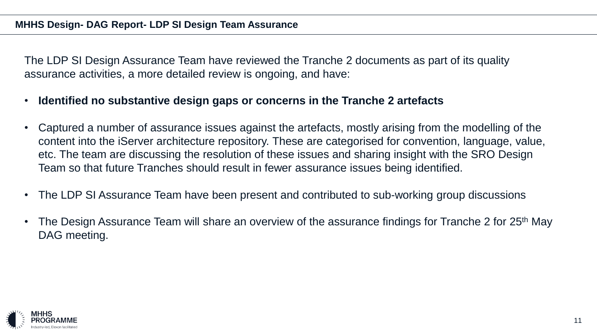## **MHHS Design- DAG Report- LDP SI Design Team Assurance**

The LDP SI Design Assurance Team have reviewed the Tranche 2 documents as part of its quality assurance activities, a more detailed review is ongoing, and have:

- **Identified no substantive design gaps or concerns in the Tranche 2 artefacts**
- Captured a number of assurance issues against the artefacts, mostly arising from the modelling of the content into the iServer architecture repository. These are categorised for convention, language, value, etc. The team are discussing the resolution of these issues and sharing insight with the SRO Design Team so that future Tranches should result in fewer assurance issues being identified.
- The LDP SI Assurance Team have been present and contributed to sub-working group discussions
- The Design Assurance Team will share an overview of the assurance findings for Tranche 2 for 25<sup>th</sup> May DAG meeting.